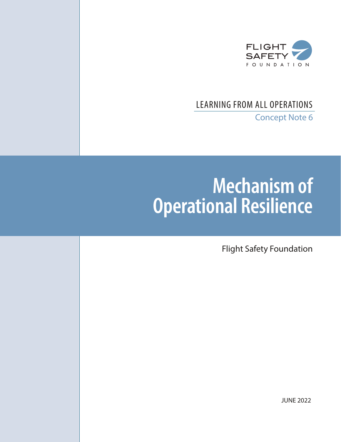

# LEARNING FROM ALL OPERATIONS

Concept Note 6

# **Mechanism of Operational Resilience**

Flight Safety Foundation

JUNE 2022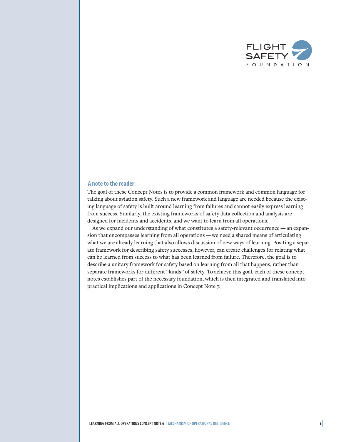

# **A note to the reader:**

The goal of these Concept Notes is to provide a common framework and common language for talking about aviation safety. Such a new framework and language are needed because the existing language of safety is built around learning from failures and cannot easily express learning from success. Similarly, the existing frameworks of safety data collection and analysis are designed for incidents and accidents, and we want to learn from all operations.

As we expand our understanding of what constitutes a safety-relevant occurrence — an expansion that encompasses learning from all operations — we need a shared means of articulating what we are already learning that also allows discussion of new ways of learning. Positing a separate framework for describing safety successes, however, can create challenges for relating what can be learned from success to what has been learned from failure. Therefore, the goal is to describe a unitary framework for safety based on learning from all that happens, rather than separate frameworks for different "kinds" of safety. To achieve this goal, each of these concept notes establishes part of the necessary foundation, which is then integrated and translated into practical implications and applications in Concept Note 7.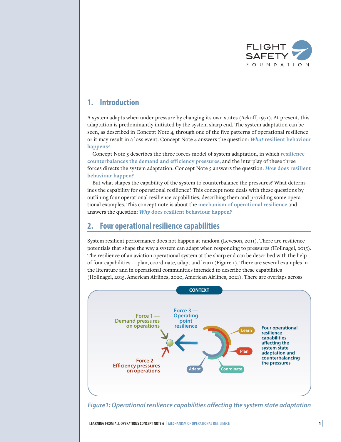

# **1. Introduction**

A system adapts when under pressure by changing its own states (Ackoff, 1971). At present, this adaptation is predominantly initiated by the system sharp end. The system adaptation can be seen, as described in Concept Note 4, through one of the five patterns of operational resilience or it may result in a loss event. Concept Note 4 answers the question: *What* **resilient behaviour happens?**

Concept Note 5 describes the three forces model of system adaptation, in which **resilience counterbalances the demand and efficiency pressures,** and the interplay of these three forces directs the system adaptation. Concept Note 5 answers the question: *How* **does resilient behaviour happen?**

But what shapes the capability of the system to counterbalance the pressures? What determines the capability for operational resilience? This concept note deals with these questions by outlining four operational resilience capabilities, describing them and providing some operational examples. This concept note is about the **mechanism of operational resilience** and answers the question: *Why* **does resilient behaviour happen?**

# **2. Four operational resilience capabilities**

System resilient performance does not happen at random (Leveson, 2011). There are resilience potentials that shape the way a system can adapt when responding to pressures (Hollnagel, 2015). The resilience of an aviation operational system at the sharp end can be described with the help of four capabilities — plan, coordinate, adapt and learn (Figure 1). There are several examples in the literature and in operational communities intended to describe these capabilities (Hollnagel, 2015, American Airlines, 2020, American Airlines, 2021). There are overlaps across



*Figure1: Operational resilience capabilities affecting the system state adaptation*

**LEARNING FROM ALL OPERATIONS CONCEPT NOTE 6 <sup>|</sup> MECHANISM OF OPERATIONAL RESILIENCE <sup>1</sup> |**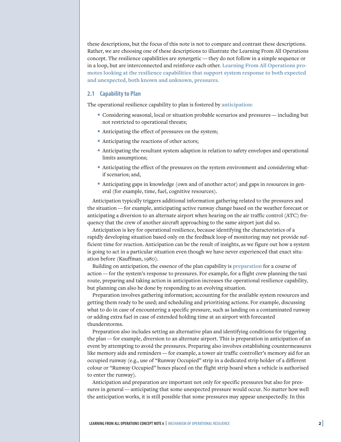these descriptions, but the focus of this note is not to compare and contrast these descriptions. Rather, we are choosing one of these descriptions to illustrate the Learning From All Operations concept. The resilience capabilities are synergetic — they do not follow in a simple sequence or in a loop, but are interconnected and reinforce each other. **Learning From All Operations promotes looking at the resilience capabilities that support system response to both expected and unexpected, both known and unknown, pressures.**

### **2.1 Capability to Plan**

The operational resilience capability to plan is fostered by **anticipation:**

- Considering seasonal, local or situation probable scenarios and pressures including but not restricted to operational threats;
- Anticipating the effect of pressures on the system;
- Anticipating the reactions of other actors;
- Anticipating the resultant system adaption in relation to safety envelopes and operational limits assumptions;
- Anticipating the effect of the pressures on the system environment and considering whatif scenarios; and,
- Anticipating gaps in knowledge (own and of another actor) and gaps in resources in general (for example, time, fuel, cognitive resources).

Anticipation typically triggers additional information gathering related to the pressures and the situation — for example, anticipating active runway change based on the weather forecast or anticipating a diversion to an alternate airport when hearing on the air traffic control (ATC) frequency that the crew of another aircraft approaching to the same airport just did so.

Anticipation is key for operational resilience, because identifying the characteristics of a rapidly developing situation based only on the feedback loop of monitoring may not provide sufficient time for reaction. Anticipation can be the result of insights, as we figure out how a system is going to act in a particular situation even though we have never experienced that exact situation before (Kauffman, 1980).

Building on anticipation, the essence of the plan capability is **preparation** for a course of action — for the system's response to pressures. For example, for a flight crew planning the taxi route, preparing and taking action in anticipation increases the operational resilience capability, but planning can also be done by responding to an evolving situation.

Preparation involves gathering information; accounting for the available system resources and getting them ready to be used; and scheduling and prioritising actions. For example, discussing what to do in case of encountering a specific pressure, such as landing on a contaminated runway or adding extra fuel in case of extended holding time at an airport with forecasted thunderstorms.

Preparation also includes setting an alternative plan and identifying conditions for triggering the plan — for example, diversion to an alternate airport. This is preparation in anticipation of an event by attempting to avoid the pressures. Preparing also involves establishing countermeasures like memory aids and reminders — for example, a tower air traffic controller's memory aid for an occupied runway (e.g., use of "Runway Occupied" strip in a dedicated strip holder of a different colour or "Runway Occupied" boxes placed on the flight strip board when a vehicle is authorised to enter the runway).

Anticipation and preparation are important not only for specific pressures but also for pressures in general — anticipating that some unexpected pressure would occur. No matter how well the anticipation works, it is still possible that some pressures may appear unexpectedly. In this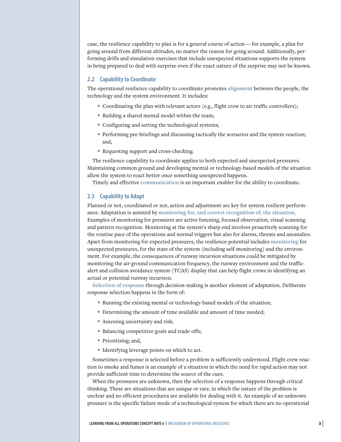case, the resilience capability to plan is for a general course of action — for example, a plan for going around from different altitudes, no matter the reason for going around. Additionally, performing drills and simulation exercises that include unexpected situations supports the system in being prepared to deal with surprise even if the exact nature of the surprise may not be known.

# **2.2 Capability to Coordinate**

The operational resilience capability to coordinate promotes **alignment** between the people, the technology and the system environment. It includes:

- Coordinating the plan with relevant actors (e.g., flight crew to air traffic controllers);
- Building a shared mental model within the team;
- Configuring and setting the technological systems;
- Performing pre-briefings and discussing tactically the scenarios and the system reaction; and,
- Requesting support and cross-checking.

The resilience capability to coordinate applies to both expected and unexpected pressures. Maintaining common ground and developing mental or technology-based models of the situation allow the system to react better once something unexpected happens.

Timely and effective **communication** is an important enabler for the ability to coordinate.

# **2.3 Capability to Adapt**

Planned or not, coordinated or not, action and adjustment are key for system resilient performance. Adaptation is assisted by **monitoring for, and correct recognition of, the situation**. Examples of monitoring for pressures are active listening, focused observation, visual scanning and pattern recognition. Monitoring at the system's sharp end involves proactively scanning for the routine pace of the operations and normal triggers but also for alarms, threats and anomalies. Apart from monitoring for expected pressures, the resilience potential includes **monitoring** for unexpected pressures, for the state of the system (including self-monitoring) and the environment**.** For example, the consequences of runway incursion situations could be mitigated by monitoring the air-ground communication frequency, the runway environment and the trafficalert and collision avoidance system (TCAS) display that can help flight crews in identifying an actual or potential runway incursion.

**Selection of response** through decision-making is another element of adaptation. Deliberate response selection happens in the form of:

- Running the existing mental or technology-based models of the situation;
- Determining the amount of time available and amount of time needed;
- Assessing uncertainty and risk;
- Balancing competitive goals and trade-offs;
- Prioritising; and,
- Identifying leverage points on which to act.

Sometimes a response is selected before a problem is sufficiently understood. Flight crew reaction to smoke and fumes is an example of a situation in which the need for rapid action may not provide sufficient time to determine the source of the cues.

When the pressures are unknown, then the selection of a response happens through critical thinking. These are situations that are unique or rare, in which the nature of the problem is unclear and no efficient procedures are available for dealing with it. An example of an unknown pressure is the specific failure mode of a technological system for which there are no operational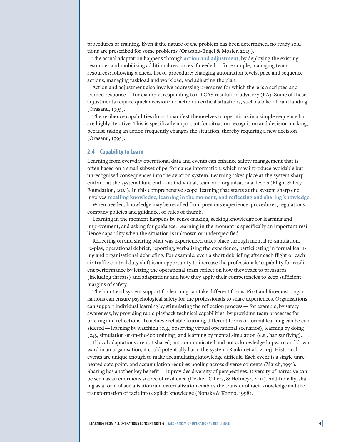procedures or training. Even if the nature of the problem has been determined, no ready solutions are prescribed for some problems (Orasanu-Engel & Mosier, 2019).

The actual adaptation happens through **action and adjustment,** by deploying the existing resources and mobilising additional resources if needed — for example, managing team resources; following a check-list or procedure; changing automation levels, pace and sequence actions; managing taskload and workload; and adjusting the plan.

Action and adjustment also involve addressing pressures for which there is a scripted and trained response — for example, responding to a TCAS resolution advisory (RA). Some of these adjustments require quick decision and action in critical situations, such as take-off and landing (Orasanu, 1995).

The resilience capabilities do not manifest themselves in operations in a simple sequence but are highly iterative. This is specifically important for situation recognition and decision-making, because taking an action frequently changes the situation, thereby requiring a new decision (Orasanu, 1995).

# **2.4 Capability to Learn**

Learning from everyday operational data and events can enhance safety management that is often based on a small subset of performance information, which may introduce avoidable but unrecognised consequences into the aviation system. Learning takes place at the system sharp end and at the system blunt end — at individual, team and organisational levels (Flight Safety Foundation, 2021). In this comprehensive scope, learning that starts at the system sharp end involves **recalling knowledge, learning in the moment, and reflecting and sharing knowledge.**

When needed, knowledge may be recalled from previous experience, procedures, regulations, company policies and guidance, or rules of thumb.

Learning in the moment happens by sense-making, seeking knowledge for learning and improvement, and asking for guidance. Learning in the moment is specifically an important resilience capability when the situation is unknown or underspecified.

Reflecting on and sharing what was experienced takes place through mental re-simulation, re-play, operational debrief, reporting, verbalising the experience, participating in formal learning and organisational debriefing. For example, even a short debriefing after each flight or each air traffic control duty shift is an opportunity to increase the professionals' capability for resilient performance by letting the operational team reflect on how they react to pressures (including threats) and adaptations and how they apply their competencies to keep sufficient margins of safety.

The blunt end system support for learning can take different forms. First and foremost, organisations can ensure psychological safety for the professionals to share experiences. Organisations can support individual learning by stimulating the reflection process— for example, by safety awareness, by providing rapid playback technical capabilities, by providing team processes for briefing and reflections. To achieve reliable learning, different forms of formal learning can be considered— learning by watching (e.g., observing virtual operational scenarios), learning by doing (e.g., simulation or on-the-job training) and learning by mental simulation (e.g., hangar flying).

If local adaptations are not shared, not communicated and not acknowledged upward and downward in an organisation, it could potentially harm the system (Rankin et al., 2014). Historical events are unique enough to make accumulating knowledge difficult. Each event is a single unrepeated data point, and accumulation requires pooling across diverse contexts (March, 1991). Sharing has another key benefit — it provides diversity of perspectives. Diversity of narrative can be seen as an enormous source of resilience (Dekker, Ciliers, & Hofmeyr, 2011). Additionally, sharing as a form of socialisation and externalisation enables the transfer of tacit knowledge and the transformation of tacit into explicit knowledge (Nonaka & Konno, 1998).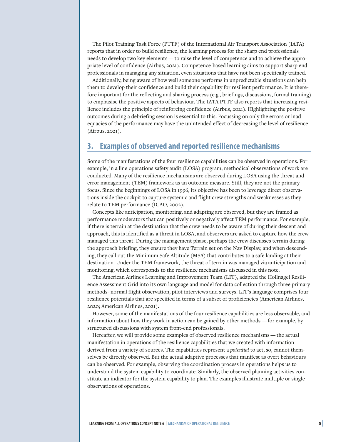The Pilot Training Task Force (PTTF) of the International Air Transport Association (IATA) reports that in order to build resilience, the learning process for the sharp end professionals needs to develop two key elements — to raise the level of competence and to achieve the appropriate level of confidence (Airbus, 2021). Competence-based learning aims to support sharp end professionals in managing any situation, even situations that have not been specifically trained.

Additionally, being aware of how well someone performs in unpredictable situations can help them to develop their confidence and build their capability for resilient performance. It is therefore important for the reflecting and sharing process (e.g., briefings, discussions, formal training) to emphasise the positive aspects of behaviour. The IATA PTTF also reports that increasing resilience includes the principle of reinforcing confidence (Airbus, 2021). Highlighting the positive outcomes during a debriefing session is essential to this. Focussing on only the errors or inadequacies of the performance may have the unintended effect of decreasing the level of resilience (Airbus, 2021).

# **3. Examples of observed and reported resilience mechanisms**

Some of the manifestations of the four resilience capabilities can be observed in operations. For example, in a line operations safety audit (LOSA) program, methodical observations of work are conducted. Many of the resilience mechanisms are observed during LOSA using the threat and error management (TEM) framework as an outcome measure. Still, they are not the primary focus. Since the beginnings of LOSA in 1996, its objective has been to leverage direct observations inside the cockpit to capture systemic and flight crew strengths and weaknesses as they relate to TEM performance (ICAO, 2002).

Concepts like anticipation, monitoring, and adapting are observed, but they are framed as performance moderators that can positively or negatively affect TEM performance. For example, if there is terrain at the destination that the crew needs to be aware of during their descent and approach, this is identified as a threat in LOSA, and observers are asked to capture how the crew managed this threat. During the management phase, perhaps the crew discusses terrain during the approach briefing, they ensure they have Terrain set on the Nav Display, and when descending, they call out the Minimum Safe Altitude (MSA) that contributes to a safe landing at their destination. Under the TEM framework, the threat of terrain was managed via anticipation and monitoring, which corresponds to the resilience mechanisms discussed in this note.

The American Airlines Learning and Improvement Team (LIT), adapted the Hollnagel Resilience Assessment Grid into its own language and model for data collection through three primary methods- normal flight observation, pilot interviews and surveys. LIT's language comprises four resilience potentials that are specified in terms of a subset of proficiencies (American Airlines, 2020; American Airlines, 2021).

However, some of the manifestations of the four resilience capabilities are less observable, and information about how they work in action can be gained by other methods — for example, by structured discussions with system front-end professionals.

Hereafter, we will provide some examples of observed resilience mechanisms — the actual manifestation in operations of the resilience capabilities that we created with information derived from a variety of sources. The capabilities represent a *potential* to act, so, cannot themselves be directly observed. But the actual adaptive processes that manifest as overt behaviours can be observed. For example, observing the coordination process in operations helps us to understand the system capability to coordinate. Similarly, the observed planning activities constitute an indicator for the system capability to plan. The examples illustrate multiple or single observations of operations.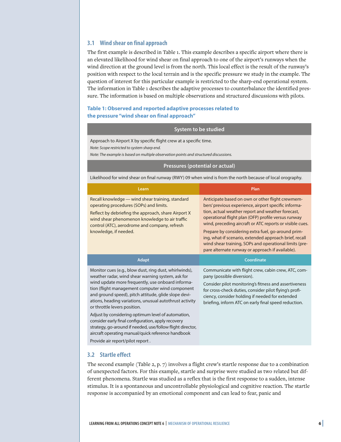# **3.1 Wind shear on final approach**

The first example is described in Table 1. This example describes a specific airport where there is an elevated likelihood for wind shear on final approach to one of the airport's runways when the wind direction at the ground level is from the north. This local effect is the result of the runway's position with respect to the local terrain and is the specific pressure we study in the example. The question of interest for this particular example is restricted to the sharp-end operational system. The information in Table 1 describes the adaptive processes to counterbalance the identified pressure. The information is based on multiple observations and structured discussions with pilots.

# **Table 1: Observed and reported adaptive processes related to the pressure "wind shear on final approach"**

#### **System to be studied**

Approach to Airport X by specific flight crew at a specific time.

*Note: Scope restricted to system sharp end.*

*Note: The example is based on multiple observation points and structured discussions.*

#### **Pressures (potential or actual)**

Likelihood for wind shear on final runway (RWY) 09 when wind is from the north because of local orography.

| Learn                                                                                                                                                                                                                                                                                                                                                                                                                                                                                                                                                                                                  | Plan                                                                                                                                                                                                                                                                                                                                                                                                                                                                                                           |
|--------------------------------------------------------------------------------------------------------------------------------------------------------------------------------------------------------------------------------------------------------------------------------------------------------------------------------------------------------------------------------------------------------------------------------------------------------------------------------------------------------------------------------------------------------------------------------------------------------|----------------------------------------------------------------------------------------------------------------------------------------------------------------------------------------------------------------------------------------------------------------------------------------------------------------------------------------------------------------------------------------------------------------------------------------------------------------------------------------------------------------|
| Recall knowledge — wind shear training, standard<br>operating procedures (SOPs) and limits.<br>Reflect by debriefing the approach, share Airport X<br>wind shear phenomenon knowledge to air traffic<br>control (ATC), aerodrome and company, refresh<br>knowledge, if needed.                                                                                                                                                                                                                                                                                                                         | Anticipate based on own or other flight crewmem-<br>bers' previous experience, airport specific informa-<br>tion, actual weather report and weather forecast,<br>operational flight plan (OFP) profile versus runway<br>wind, preceding aircraft or ATC reports or visible cues.<br>Prepare by considering extra fuel, go-around prim-<br>ing, what-if scenario, extended approach brief, recall<br>wind shear training, SOPs and operational limits (pre-<br>pare alternate runway or approach if available). |
| <b>Adapt</b>                                                                                                                                                                                                                                                                                                                                                                                                                                                                                                                                                                                           | Coordinate                                                                                                                                                                                                                                                                                                                                                                                                                                                                                                     |
| Monitor cues (e.g., blow dust, ring dust, whirlwinds),<br>weather radar, wind shear warning system, ask for<br>wind update more frequently, use onboard informa-<br>tion (flight management computer wind component<br>and ground speed), pitch attitude, glide slope devi-<br>ations, heading variations, unusual autothrust activity<br>or throttle levers position.<br>Adjust by considering optimum level of automation,<br>consider early final configuration, apply recovery<br>strategy, go-around if needed, use/follow flight director,<br>aircraft operating manual/quick reference handbook | Communicate with flight crew, cabin crew, ATC, com-<br>pany (possible diversion).<br>Consider pilot monitoring's fitness and assertiveness<br>for cross-check duties, consider pilot flying's profi-<br>ciency, consider holding if needed for extended<br>briefing, inform ATC on early final speed reduction.                                                                                                                                                                                                |

Provide air report/pilot report .

#### **3.2 Startle effect**

The second example (Table 2, p. 7) involves a flight crew's startle response due to a combination of unexpected factors. For this example, startle and surprise were studied as two related but different phenomena. Startle was studied as a reflex that is the first response to a sudden, intense stimulus. It is a spontaneous and uncontrollable physiological and cognitive reaction. The startle response is accompanied by an emotional component and can lead to fear, panic and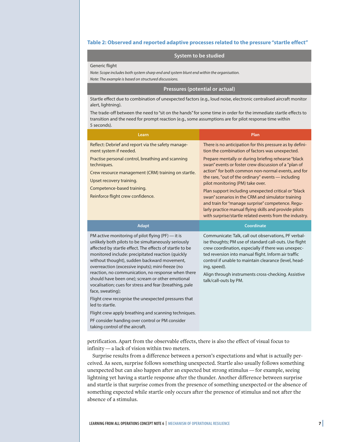#### **Table 2: Observed and reported adaptive processes related to the pressure "startle effect"**

# **System to be studied**

#### Generic flight

*Note: Scope includes both system sharp end and system blunt end within the organisation.*

*Note: The example is based on structured discussions.*

# **Pressures (potential or actual)**

Startle effect due to combination of unexpected factors (e.g., loud noise, electronic centralised aircraft monitor alert, lightning).

The trade-off between the need to "sit on the hands"for some time in order for the immediate startle effects to transition and the need for prompt reaction (e.g., some assumptions are for pilot response time within 5 seconds).

| Learn                                                                                                                                                                                                                                                                                                                                                                                                                                                                                                                                                                                                                                                   | Plan                                                                                                                                                                                                                                                                                                                                                                                                                                                                                                                                                                                                                                                              |
|---------------------------------------------------------------------------------------------------------------------------------------------------------------------------------------------------------------------------------------------------------------------------------------------------------------------------------------------------------------------------------------------------------------------------------------------------------------------------------------------------------------------------------------------------------------------------------------------------------------------------------------------------------|-------------------------------------------------------------------------------------------------------------------------------------------------------------------------------------------------------------------------------------------------------------------------------------------------------------------------------------------------------------------------------------------------------------------------------------------------------------------------------------------------------------------------------------------------------------------------------------------------------------------------------------------------------------------|
| Reflect: Debrief and report via the safety manage-<br>ment system if needed.<br>Practise personal control, breathing and scanning<br>techniques.<br>Crew resource management (CRM) training on startle.<br>Upset recovery training.<br>Competence-based training.<br>Reinforce flight crew confidence.                                                                                                                                                                                                                                                                                                                                                  | There is no anticipation for this pressure as by defini-<br>tion the combination of factors was unexpected.<br>Prepare mentally or during briefing rehearse "black<br>swan" events or foster crew discussion of a "plan of<br>action" for both common non-normal events, and for<br>the rare, "out of the ordinary" events - including<br>pilot monitoring (PM) take over.<br>Plan support including unexpected critical or "black<br>swan" scenarios in the CRM and simulator training<br>and train for "manage surprise" competence. Regu-<br>larly practice manual flying skills and provide pilots<br>with surprise/startle related events from the industry. |
| <b>Adapt</b>                                                                                                                                                                                                                                                                                                                                                                                                                                                                                                                                                                                                                                            | <b>Coordinate</b>                                                                                                                                                                                                                                                                                                                                                                                                                                                                                                                                                                                                                                                 |
|                                                                                                                                                                                                                                                                                                                                                                                                                                                                                                                                                                                                                                                         |                                                                                                                                                                                                                                                                                                                                                                                                                                                                                                                                                                                                                                                                   |
| PM active monitoring of pilot flying (PF) — it is<br>unlikely both pilots to be simultaneously seriously<br>affected by startle effect. The effects of startle to be<br>monitored include: precipitated reaction (quickly<br>without thought), sudden backward movement,<br>overreaction (excessive inputs); mini-freeze (no<br>reaction, no communication, no response when there<br>should have been one); scream or other emotional<br>vocalisation; cues for stress and fear (breathing, pale<br>face, sweating);<br>Flight crew recognise the unexpected pressures that<br>led to startle.<br>Flight crew apply breathing and scanning techniques. | Communicate: Talk, call out observations, PF verbal-<br>ise thoughts; PM use of standard call-outs. Use flight<br>crew coordination, especially if there was unexpec-<br>ted reversion into manual flight. Inform air traffic<br>control if unable to maintain clearance (level, head-<br>ing, speed).<br>Align through instruments cross-checking. Assistive<br>talk/call-outs by PM.                                                                                                                                                                                                                                                                            |

petrification. Apart from the observable effects, there is also the effect of visual focus to infinity — a lack of vision within two meters.

Surprise results from a difference between a person's expectations and what is actually perceived. As seen, surprise follows something unexpected. Startle also usually follows something unexpected but can also happen after an expected but strong stimulus — for example, seeing lightning yet having a startle response after the thunder. Another difference between surprise and startle is that surprise comes from the presence of something unexpected or the absence of something expected while startle only occurs after the presence of stimulus and not after the absence of a stimulus.

taking control of the aircraft.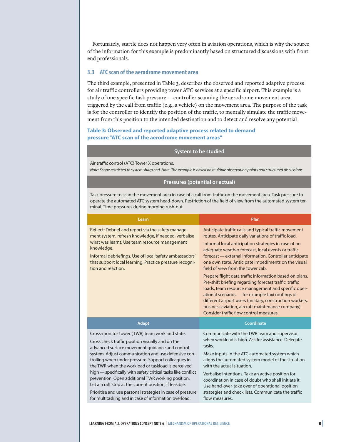Fortunately, startle does not happen very often in aviation operations, which is why the source of the information for this example is predominantly based on structured discussions with front end professionals.

# **3.3 ATC scan of the aerodrome movement area**

The third example, presented in Table 3, describes the observed and reported adaptive process for air traffic controllers providing tower ATC services at a specific airport. This example is a study of one specific task pressure — controller scanning the aerodrome movement area triggered by the call from traffic (e.g., a vehicle) on the movement area. The purpose of the task is for the controller to identify the position of the traffic, to mentally simulate the traffic movement from this position to the intended destination and to detect and resolve any potential

# **Table 3: Observed and reported adaptive process related to demand pressure "ATC scan of the aerodrome movement areas"**

#### **System to be studied**

Air traffic control (ATC) Tower X operations.

*Note: Scope restricted to system sharp end. Note: The example is based on multiple observation points and structured discussions.*

#### **Pressures (potential or actual)**

Task pressure to scan the movement area in case of a call from traffic on the movement area. Task pressure to operate the automated ATC system head-down. Restriction of the field of view from the automated system ter‐ minal. Time pressures during morning rush-out.

| Learn                                                                                                                                                                                                                                                                                                                                                                                                                                                                                                                                                                                                                           | Plan                                                                                                                                                                                                                                                                                                                                                                                                                                                                                                                                                                                                                                                                                                                                                                         |
|---------------------------------------------------------------------------------------------------------------------------------------------------------------------------------------------------------------------------------------------------------------------------------------------------------------------------------------------------------------------------------------------------------------------------------------------------------------------------------------------------------------------------------------------------------------------------------------------------------------------------------|------------------------------------------------------------------------------------------------------------------------------------------------------------------------------------------------------------------------------------------------------------------------------------------------------------------------------------------------------------------------------------------------------------------------------------------------------------------------------------------------------------------------------------------------------------------------------------------------------------------------------------------------------------------------------------------------------------------------------------------------------------------------------|
| Reflect: Debrief and report via the safety manage-<br>ment system, refresh knowledge, if needed, verbalise<br>what was learnt. Use team resource management<br>knowledge.<br>Informal debriefings. Use of local 'safety ambassadors'<br>that support local learning. Practice pressure recogni-<br>tion and reaction.                                                                                                                                                                                                                                                                                                           | Anticipate traffic calls and typical traffic movement<br>routes. Anticipate daily variations of traffic load.<br>Informal local anticipation strategies in case of no<br>adequate weather forecast, local events or traffic<br>forecast — external information. Controller anticipate<br>one own state. Anticipate impediments on the visual<br>field of view from the tower cab.<br>Prepare flight data traffic information based on plans.<br>Pre-shift briefing regarding forecast traffic, traffic<br>loads, team resource management and specific oper-<br>ational scenarios - for example taxi routings of<br>different airport users (military, construction workers,<br>business aviation, aircraft maintenance company).<br>Consider traffic flow control measures. |
| <b>Adapt</b>                                                                                                                                                                                                                                                                                                                                                                                                                                                                                                                                                                                                                    | Coordinate                                                                                                                                                                                                                                                                                                                                                                                                                                                                                                                                                                                                                                                                                                                                                                   |
| Cross-monitor tower (TWR) team work and state.<br>Cross check traffic position visually and on the<br>advanced surface movement guidance and control<br>system. Adjust communication and use defensive con-<br>trolling when under pressure. Support colleagues in<br>the TWR when the workload or taskload is perceived<br>high - specifically with safety critical tasks like conflict<br>prevention. Open additional TWR working position.<br>Let aircraft stop at the current position, if feasible.<br>Prioritise and use personal strategies in case of pressure<br>for multitasking and in case of information overload. | Communicate with the TWR team and supervisor<br>when workload is high. Ask for assistance. Delegate<br>tasks.<br>Make inputs in the ATC automated system which<br>aligns the automated system model of the situation<br>with the actual situation.<br>Verbalise intentions. Take an active position for<br>coordination in case of doubt who shall initiate it.<br>Use hand-over-take over of operational position<br>strategies and check lists. Communicate the traffic<br>flow measures.                                                                                                                                                                                                                                                                                  |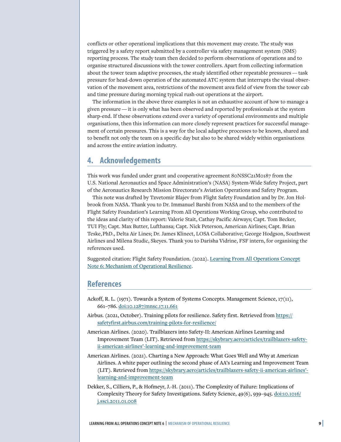conflicts or other operational implications that this movement may create. The study was triggered by a safety report submitted by a controller via safety management system (SMS) reporting process. The study team then decided to perform observations of operations and to organise structured discussions with the tower controllers. Apart from collecting information about the tower team adaptive processes, the study identified other repeatable pressures — task pressure for head-down operation of the automated ATC system that interrupts the visual observation of the movement area, restrictions of the movement area field of view from the tower cab and time pressure during morning typical rush-out operations at the airport.

The information in the above three examples is not an exhaustive account of how to manage a given pressure — it is only what has been observed and reported by professionals at the system sharp-end. If these observations extend over a variety of operational environments and multiple organisations, then this information can more closely represent practices for successful management of certain pressures. This is a way for the local adaptive processes to be known, shared and to benefit not only the team on a specific day but also to be shared widely within organisations and across the entire aviation industry.

# **4. Acknowledgements**

This work was funded under grant and cooperative agreement 80NSSC21M0187 from the U.S. National Aeronautics and Space Administration's (NASA) System-Wide Safety Project, part of the Aeronautics Research Mission Directorate's Aviation Operations and Safety Program.

This note was drafted by Tzvetomir Blajev from Flight Safety Foundation and by Dr. Jon Holbrook from NASA. Thank you to Dr. Immanuel Barshi from NASA and to the members of the Flight Safety Foundation's Learning From All Operations Working Group, who contributed to the ideas and clarity of this report: Valerie Stait, Cathay Pacific Airways; Capt. Tom Becker, TUI Fly; Capt. Max Butter, Lufthansa; Capt. Nick Peterson, American Airlines; Capt. Brian Teske,PhD., Delta Air Lines; Dr. James Klinect, LOSA Collaborative; George Hodgson, Southwest Airlines and Milena Studic, Skeyes. Thank you to Darisha Vidrine, FSF intern, for organising the references used.

Suggested citation: Flight Safety Foundation. (2022). [Learning From All Operations Concept](https://flightsafety.org/toolkits-resources/learning-from-all-operations/) [Note 6: Mechanism of Operational Resilience.](https://flightsafety.org/toolkits-resources/learning-from-all-operations/)

# **References**

- Ackoff, R. L. (1971). Towards a System of Systems Concepts. Management Science, 17(11), 661–786. [doi:10.1287/mnsc.17.11.661](https://doi.org/10.1287/mnsc.17.11.661)
- Airbus. (2021, October). Training pilots for resilience. Safety first. Retrieved from [https://](https://safetyfirst.airbus.com/training-pilots-for-resilience/) [safetyfirst.airbus.com/training-pilots-for-resilience/](https://safetyfirst.airbus.com/training-pilots-for-resilience/)
- American Airlines. (2020). Trailblazers into Safety-II: American Airlines Learning and Improvement Team (LIT). Retrieved from [https://skybrary.aero/articles/trailblazers-safety](https://skybrary.aero/articles/trailblazers-safety-ii-american-airlines%E2%80%99-learning-and-improvement-team)[ii-american-airlines'-learning-and-improvement-team](https://skybrary.aero/articles/trailblazers-safety-ii-american-airlines%E2%80%99-learning-and-improvement-team)
- American Airlines. (2021). Charting a New Approach: What Goes Well and Why at American Airlines. A white paper outlining the second phase of AA's Learning and Improvement Team (LIT). Retrieved from [https://skybrary.aero/articles/trailblazers-safety-ii-american-airlines'](https://skybrary.aero/articles/trailblazers-safety-ii-american-airlines%E2%80%99-learning-and-improvement-team) [learning-and-improvement-team](https://skybrary.aero/articles/trailblazers-safety-ii-american-airlines%E2%80%99-learning-and-improvement-team)
- Dekker, S., Cilliers, P., & Hofmeyr, J.-H. (2011). The Complexity of Failure: Implications of Complexity Theory for Safety Investigations. Safety Science, 49(6), 939–945. [doi:10.1016/](https://doi.org/10.1016/j.ssci.2011.01.008) [j.ssci.2011.01.008](https://doi.org/10.1016/j.ssci.2011.01.008)